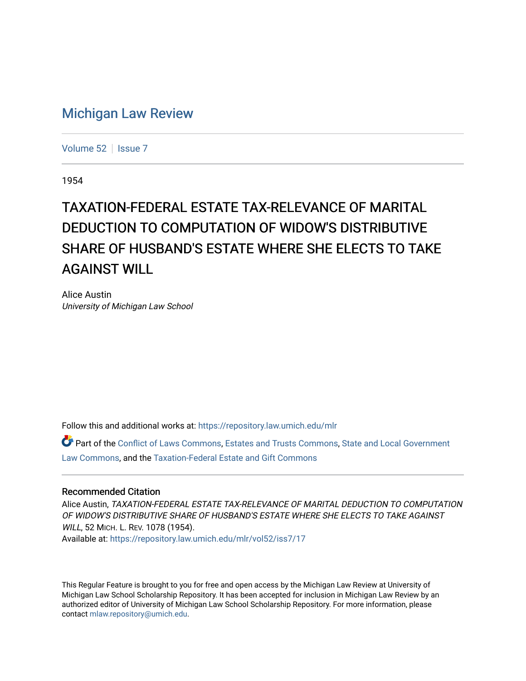## [Michigan Law Review](https://repository.law.umich.edu/mlr)

[Volume 52](https://repository.law.umich.edu/mlr/vol52) | [Issue 7](https://repository.law.umich.edu/mlr/vol52/iss7)

1954

## TAXATION-FEDERAL ESTATE TAX-RELEVANCE OF MARITAL DEDUCTION TO COMPUTATION OF WIDOW'S DISTRIBUTIVE SHARE OF HUSBAND'S ESTATE WHERE SHE ELECTS TO TAKE AGAINST WILL

Alice Austin University of Michigan Law School

Follow this and additional works at: [https://repository.law.umich.edu/mlr](https://repository.law.umich.edu/mlr?utm_source=repository.law.umich.edu%2Fmlr%2Fvol52%2Fiss7%2F17&utm_medium=PDF&utm_campaign=PDFCoverPages) 

Part of the [Conflict of Laws Commons,](http://network.bepress.com/hgg/discipline/588?utm_source=repository.law.umich.edu%2Fmlr%2Fvol52%2Fiss7%2F17&utm_medium=PDF&utm_campaign=PDFCoverPages) [Estates and Trusts Commons,](http://network.bepress.com/hgg/discipline/906?utm_source=repository.law.umich.edu%2Fmlr%2Fvol52%2Fiss7%2F17&utm_medium=PDF&utm_campaign=PDFCoverPages) [State and Local Government](http://network.bepress.com/hgg/discipline/879?utm_source=repository.law.umich.edu%2Fmlr%2Fvol52%2Fiss7%2F17&utm_medium=PDF&utm_campaign=PDFCoverPages)  [Law Commons,](http://network.bepress.com/hgg/discipline/879?utm_source=repository.law.umich.edu%2Fmlr%2Fvol52%2Fiss7%2F17&utm_medium=PDF&utm_campaign=PDFCoverPages) and the [Taxation-Federal Estate and Gift Commons](http://network.bepress.com/hgg/discipline/880?utm_source=repository.law.umich.edu%2Fmlr%2Fvol52%2Fiss7%2F17&utm_medium=PDF&utm_campaign=PDFCoverPages)

## Recommended Citation

Alice Austin, TAXATION-FEDERAL ESTATE TAX-RELEVANCE OF MARITAL DEDUCTION TO COMPUTATION OF WIDOW'S DISTRIBUTIVE SHARE OF HUSBAND'S ESTATE WHERE SHE ELECTS TO TAKE AGAINST WILL, 52 MICH. L. REV. 1078 (1954). Available at: [https://repository.law.umich.edu/mlr/vol52/iss7/17](https://repository.law.umich.edu/mlr/vol52/iss7/17?utm_source=repository.law.umich.edu%2Fmlr%2Fvol52%2Fiss7%2F17&utm_medium=PDF&utm_campaign=PDFCoverPages) 

This Regular Feature is brought to you for free and open access by the Michigan Law Review at University of Michigan Law School Scholarship Repository. It has been accepted for inclusion in Michigan Law Review by an authorized editor of University of Michigan Law School Scholarship Repository. For more information, please contact [mlaw.repository@umich.edu](mailto:mlaw.repository@umich.edu).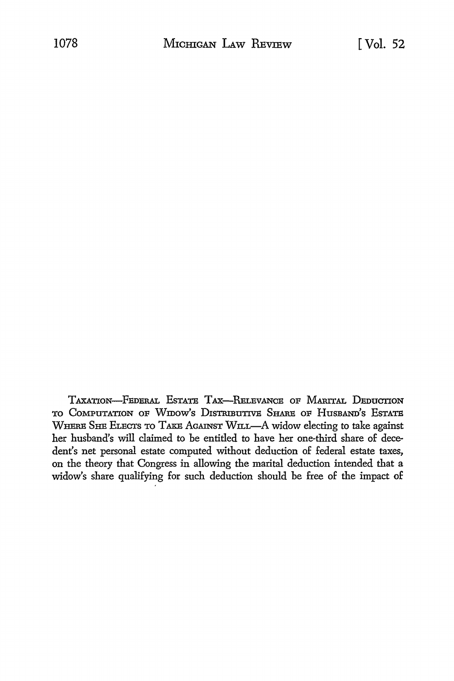TAXATION-FEDERAL ESTATE TAX-RELEVANCE OF MARITAL DEDUCTION TO COMPUTATION OF WIDOW'S DISTRIBUTIVE SHARE OF HUSBAND'S ESTATE WHERE SHE ELECTS TO TAKE AGAINST WILL-A widow electing to take against her husband's will claimed to be entitled to have her one-third share of decedent's net personal estate computed without deduction of federal estate taxes, on the theory that Congress in allowing the marital deduction intended that a widow's share qualifying for such deduction should be free of the impact of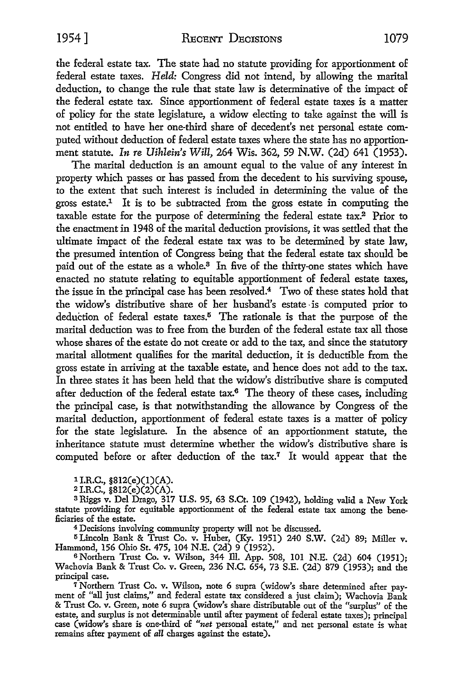the federal estate tax. The state had no statute providing for apportionment of federal estate taxes. *Held:* Congress did not intend, by allowing the marital deduction, to change the rule that state law is determinative of the impact of the federal estate tax. Since apportionment of federal estate taxes is a matter of policy for the state legislature, a widow electing to take against the will is not entitled to have her one-third share of decedent's net personal estate computed without deduction of federal estate taxes where the state has no apportionment statute. *In re Uihlein's Will,* 264 Wis. 362, 59 N.W. (2d) 641 (1953).

The marital deduction is an amount equal to the value of any interest in property which passes or has passed from the decedent to his surviving spouse, to the extent that such interest is included in determining the value of the gross estate.1 It is to be subtracted from the gross estate in computing the taxable estate for the purpose of determining the federal estate tax.2 Prior to the enactment in 1948 of the marital deduction provisions, it was settled that the ultimate impact of the federal estate tax was to be determined by state law, the presumed intention of Congress being that the federal estate tax should be paid out of the estate as a whole.<sup>3</sup> In five of the thirty-one states which have enacted no statute relating to equitable apportionment of federal estate taxes, the issue in the principal case has been resolved.<sup>4</sup> Two of these states hold that the widow's distributive share of her husband's estate -is computed prior to deduction of federal estate taxes.<sup>5</sup> The rationale is that the purpose of the marital deduction was to free from the burden of the federal estate tax all those whose shares of the estate do not create or add to the tax, and since the statutory marital allotment qualifies for the marital deduction, it is deductible from the gross estate in arriving at the taxable estate, and hence does not add to the tax. In three states it has been held that the widow's distributive share is computed after deduction of the federal estate  $tax^6$ . The theory of these cases, including the principal case, is that notwithstanding the allowance by Congress of the marital deduction, apportionment of federal estate taxes is a matter of policy for the state legislature. In the absence of an apportionment statute, the inheritance statute must determine whether the widow's distributive share is computed before or after deduction of the tax.7 It would appear that the

1 I.R.C., §812(e)(l)(A).

 $2$  I.R.C., §812(e)(2)(A).

a Riggs v. Del Drago, 317 U.S. 95, 63 S.Ct. 109 (1942), holding valid a New York statute providing for equitable apportionment of the federal estate tax among the beneficiaries of the estate.

<sup>4</sup>Decisions involving community property will not be discussed.

15 Lincoln Bank & Trust Co. v. Huber, (Ky. 1951) 240 S.W. (2d) 89; Miller v. Hammond, 156 Ohio St. 475, 104 N.E. (2d) 9 (1952).

<sup>6</sup>Northern Trust Co. v. Wilson, 344 Ill. App. 508, 101 N.E. (2d) 604 (1951); Wachovia Bank & Trust Co. v. Green, 236 N.C. 654, 73 S.E. (2d) 879 (1953); and the principal case.

7 Northern Trust Co. v. Wilson, note 6 supra (widow's share determined after payment of "all just claims," and federal estate tax considered a just claim); Wachovia Bank & Trust Co. v. Green, note 6 supra (widow's share distributable out of the "surplus" of the estate, and surplus is not determinable until after payment of federal estate taxes); principal case (widow's share is one-third of *"net* personal estate," and net personal estate is what remains after payment of *all* charges against the estate).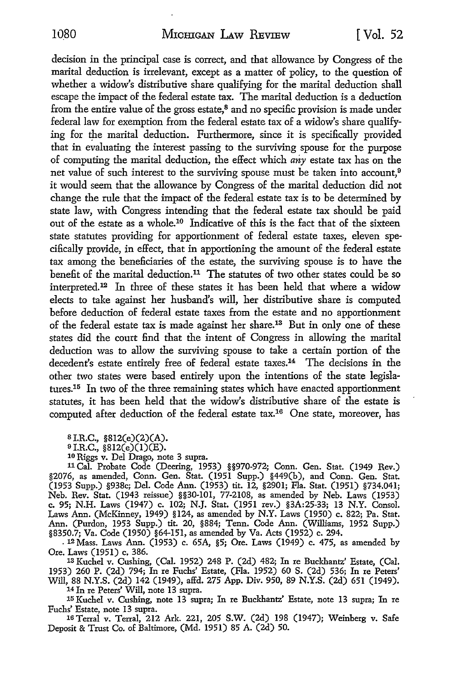decision in the principal case is correct, and that allowance by Congress of the marital deduction is irrelevant, except as a matter of policy, to the question of whether a widow's distributive share qualifying for the marital deduction shall escape the impact of the federal estate tax. The marital deduction is a deduction from the entire value of the gross estate,<sup>8</sup> and no specific provision is made under federal law for exemption from the federal estate tax of a widow's share qualifying for the marital deduction. Furthermore, since it is specifically provided that in evaluating the interest passing to the surviving spouse for the purpose of computing the marital deduction, the effect which *any* estate tax has on the net value of such interest to the surviving spouse must be taken into account,<sup>9</sup> it would seem that the allowance by Congress of the marital deduction did not change the rule that the impact of the federal estate tax is to be determined **by**  state law, with Congress intending that the federal estate tax should be paid out of the estate as a whole.10 Indicative of this is the fact that of the sixteen state statutes providing for apportionment of federal estate taxes, eleven specifically provide, in effect, that in apportioning the amount of the federal estate tax among the beneficiaries of the estate, the surviving spouse is to have the benefit of the marital deduction.<sup>11</sup> The statutes of two other states could be so interpreted.<sup>12</sup> In three of these states it has been held that where a widow elects to take against her husband's will, her distributive share is computed before deduction of federal estate taxes from the estate and no apportionment of the federal estate tax is made against her share.13 But in only one of these states did the court find that the intent of Congress in allowing the marital deduction was to allow the surviving spouse to take a certain portion of the decedent's estate entirely free of federal estate taxes.<sup>14</sup> The decisions in the other two states were based entirely upon the intentions of the state legislatures.15 In two of the three remaining states which have enacted apportionment statutes, it has been held that the widow's distributive share of the estate is computed after deduction of the federal estate tax.16 One state, moreover, has

 $$I.R.C., $812(e)(2)(A).$ 

<sup>9</sup>I.R.C., §812(e)(l)(E).

10 Riggs v. Del Drago, note 3 supra.

11 Cal. Probate Code (Deering, 1953) §§970-972; Conn. Gen. Stat. (1949 Rev.) §2076, as amended, Conn. Gen. Stat. (1951 Supp.) §449(b), and Conn. Gen. Stat. (1953 Supp.) §938c; Del. Code Ann. (1953) tit. 12, §2901; Fla. Stat. (1951) §734.041; Neb. Rev. Stat. (1943 reissue) §§30-101, 77-2108, as amended by Neb. Laws (1953) c. 95; N.H. Laws (1947) c. 102; N.J. Stat. (1951 rev.) §3A:25-33; 13 N.Y. Consol. Laws Ann. (McKinney, 1949) §124, as amended by N.Y. Laws (1950) c. 822; Pa. Stat. Ann. (Purdon, 1953 Supp.) tit. 20, §884; Tenn. Code Ann. (Williams, 1952 Supp.) §8350.7; Va. Code (1950) §64-151, as amended by Va. Acts (1952) c. 294.

- 12 Mass. Laws Ann. (1953) c. 65A, §5; Ore. Laws (1949) c. 475, as amended by Ore. Laws (1951) c, 386.

13 Kuchel v. Cushing, (Cal. 1952) 248 P. (2d) 482; In re Buckhantz' Estate, (Cal. 1953) 260 P. (2d) 794; In re Fuchs' Estate, (Fla. 1952) 60 S. (2d) 536; In re Peters' Will, 88 N.Y.S. (2d) 142 (1949), affd. 275 App. Div. 950, 89 N.Y.S. (2d) 651 (1949). 14 Jn re Peters' Will, note 13 supra.

15 Kuchel v. Cushing, note 13 supra; In re Buckhantz' Estate, note 13 supra; In re Fuchs' Estate, note 13 supra.

<sup>16</sup>Terral v. Terral, 212 Ark. 221, 205 S.W. (2d) 198 (1947); Weinberg v. Safe Deposit & Trust Co. of Baltimore, (Md. 1951) 85 A. (2d) 50.